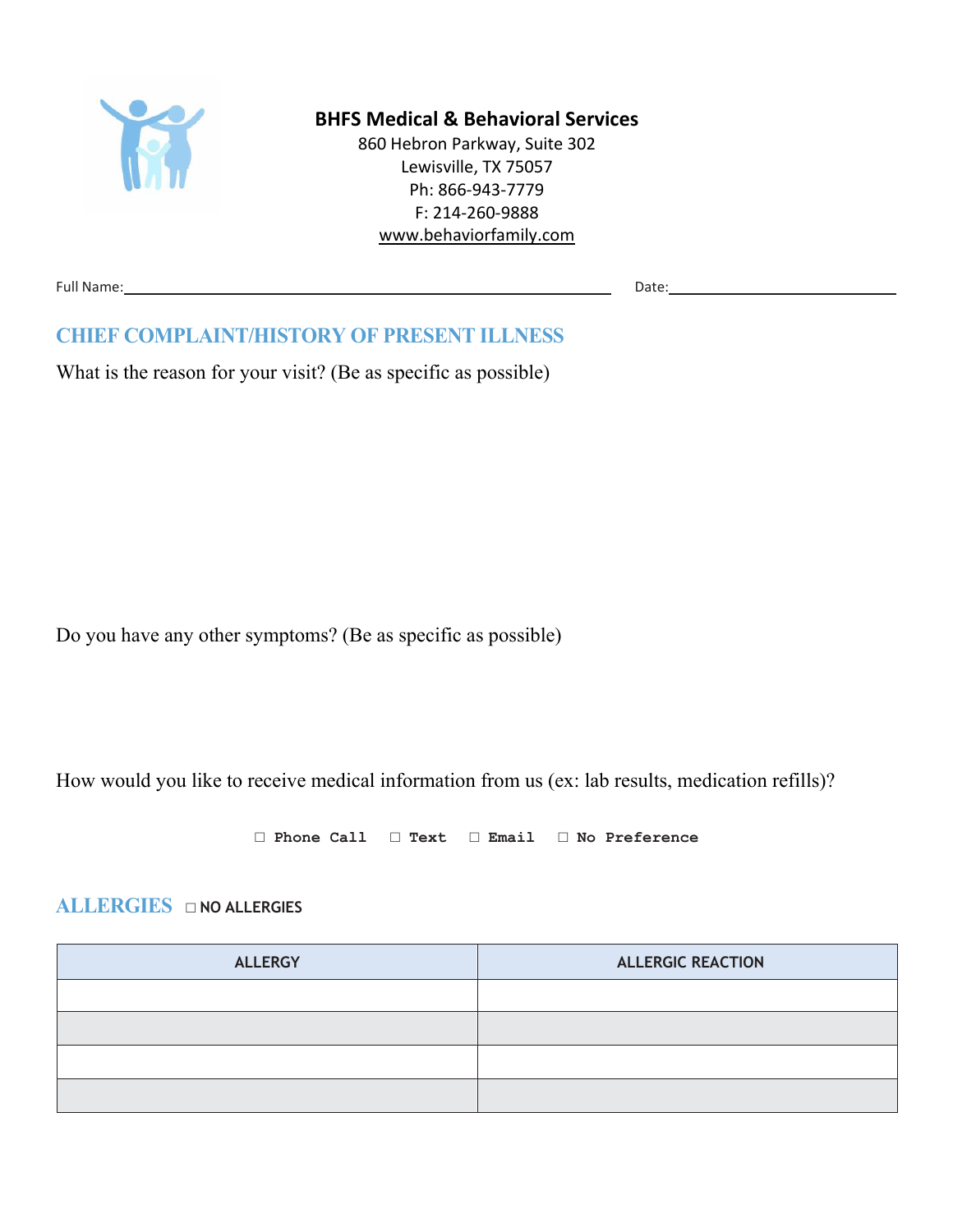

#### **BHFS Medical & Behavioral Services**

860 Hebron Parkway, Suite 302 Lewisville, TX 75057 Ph: 866-943-7779 F: 214-260-9888 [www.behaviorfamily.com](http://www.behaviorfamily.com/)

Full Name: Date: Date: Date: Date: Date: Date: Date: Date: Date: Date: Date: Date: Date: Date: Date: Date: Date: Date: Date: Date: Date: Date: Date: Date: Date: Date: Date: Date: Date: Date: Date: Date: Date: Date: Date: D

### **CHIEF COMPLAINT/HISTORY OF PRESENT ILLNESS**

What is the reason for your visit? (Be as specific as possible)

Do you have any other symptoms? (Be as specific as possible)

How would you like to receive medical information from us (ex: lab results, medication refills)?

**□ Phone Call □ Text □ Email □ No Preference**

#### **ALLERGIES □ NO ALLERGIES**

| <b>ALLERGY</b> | <b>ALLERGIC REACTION</b> |
|----------------|--------------------------|
|                |                          |
|                |                          |
|                |                          |
|                |                          |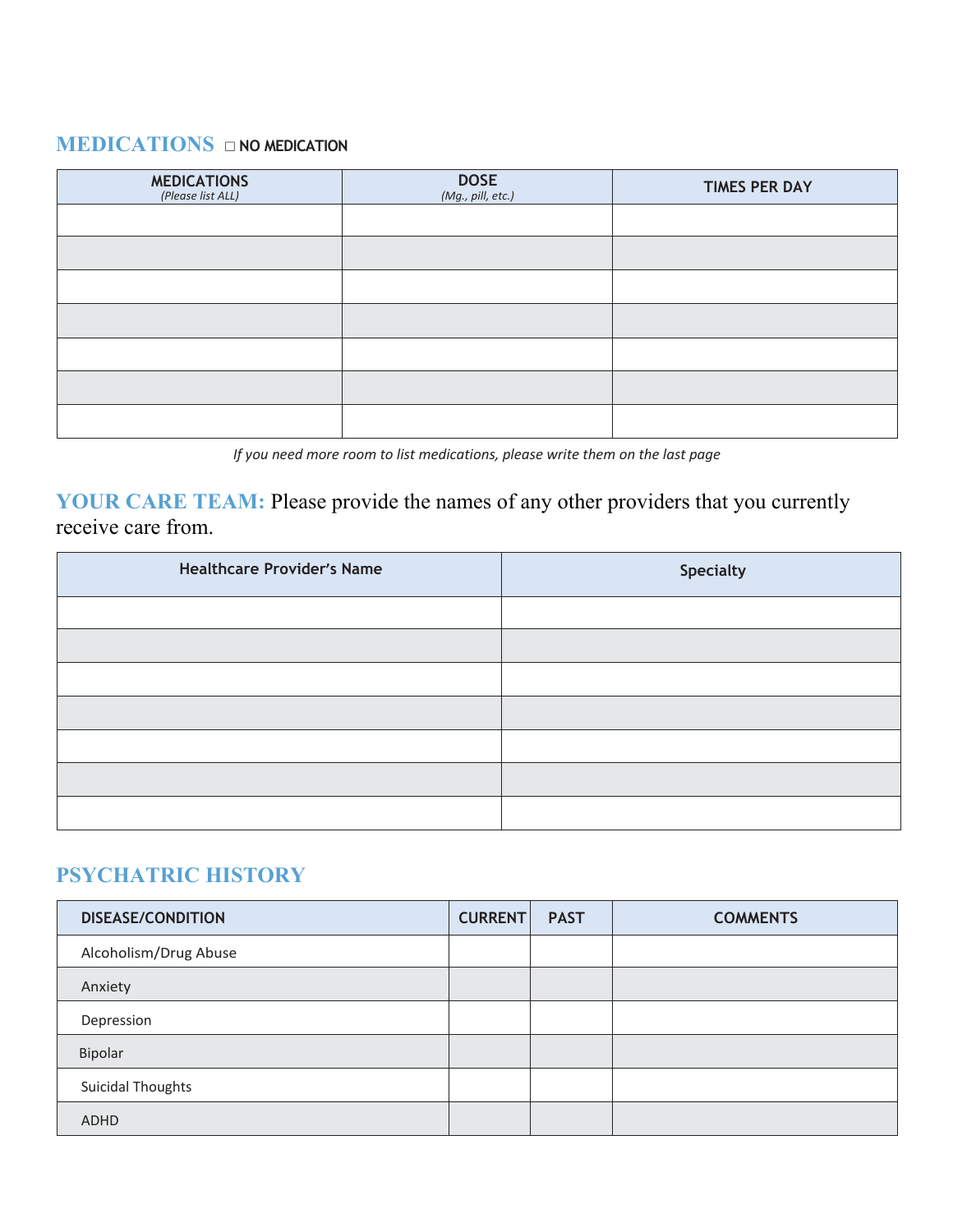## **MEDICATIONS □ NO MEDICATION**

| <b>MEDICATIONS</b><br>(Please list ALL) | $DOSE$<br>(Mg., pill, etc.) | <b>TIMES PER DAY</b> |
|-----------------------------------------|-----------------------------|----------------------|
|                                         |                             |                      |
|                                         |                             |                      |
|                                         |                             |                      |
|                                         |                             |                      |
|                                         |                             |                      |
|                                         |                             |                      |
|                                         |                             |                      |

*If you need more room to list medications, please write them on the last page*

**YOUR CARE TEAM:** Please provide the names of any other providers that you currently receive care from.

| <b>Healthcare Provider's Name</b> | <b>Specialty</b> |
|-----------------------------------|------------------|
|                                   |                  |
|                                   |                  |
|                                   |                  |
|                                   |                  |
|                                   |                  |
|                                   |                  |
|                                   |                  |

## **PSYCHATRIC HISTORY**

| <b>DISEASE/CONDITION</b> | <b>CURRENT</b> | <b>PAST</b> | <b>COMMENTS</b> |
|--------------------------|----------------|-------------|-----------------|
| Alcoholism/Drug Abuse    |                |             |                 |
| Anxiety                  |                |             |                 |
| Depression               |                |             |                 |
| Bipolar                  |                |             |                 |
| Suicidal Thoughts        |                |             |                 |
| ADHD                     |                |             |                 |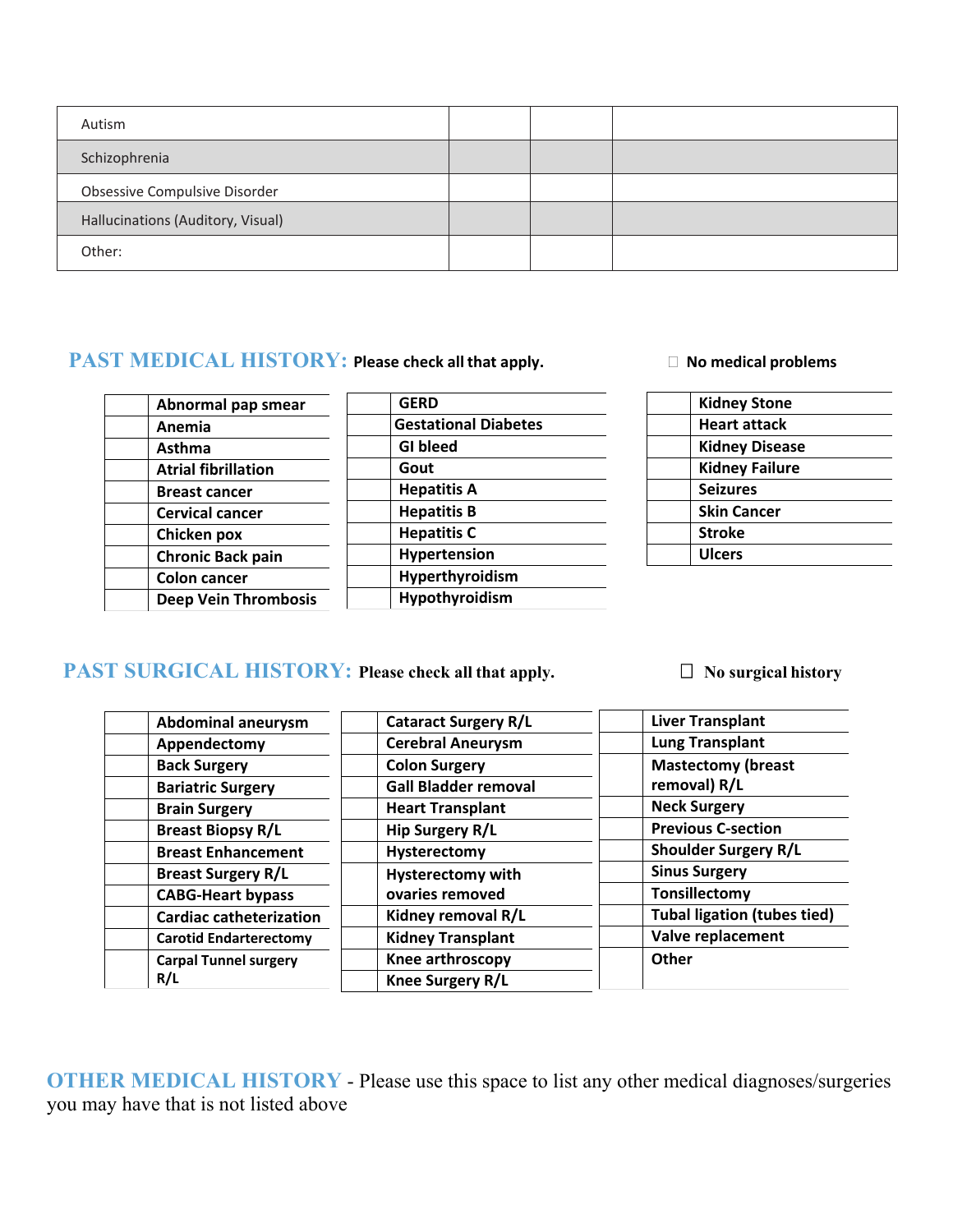| Autism                            |  |  |
|-----------------------------------|--|--|
| Schizophrenia                     |  |  |
| Obsessive Compulsive Disorder     |  |  |
| Hallucinations (Auditory, Visual) |  |  |
| Other:                            |  |  |

#### **PAST MEDICAL HISTORY:** Please check all that apply. □ No medical problems

| Abnormal pap smear          |  |
|-----------------------------|--|
| Anemia                      |  |
| Asthma                      |  |
| <b>Atrial fibrillation</b>  |  |
| <b>Breast cancer</b>        |  |
| <b>Cervical cancer</b>      |  |
| Chicken pox                 |  |
| <b>Chronic Back pain</b>    |  |
| <b>Colon cancer</b>         |  |
| <b>Deep Vein Thrombosis</b> |  |
|                             |  |

| <b>GERD</b>                 |
|-----------------------------|
| <b>Gestational Diabetes</b> |
| <b>GI</b> bleed             |
| Gout                        |
| <b>Hepatitis A</b>          |
| <b>Hepatitis B</b>          |
| <b>Hepatitis C</b>          |
| <b>Hypertension</b>         |
| Hyperthyroidism             |
| Hypothyroidism              |
|                             |

| <b>Kidney Stone</b>   |
|-----------------------|
| <b>Heart attack</b>   |
| <b>Kidney Disease</b> |
| <b>Kidney Failure</b> |
| <b>Seizures</b>       |
| <b>Skin Cancer</b>    |
| <b>Stroke</b>         |
| <b>Ulcers</b>         |
|                       |

# **PAST SURGICAL HISTORY:** Please check all that apply.  $\Box$  No surgical history

| <b>Abdominal aneurysm</b>      | <b>Cataract Surgery R/L</b> | <b>Liver Transplant</b>            |  |  |  |  |  |
|--------------------------------|-----------------------------|------------------------------------|--|--|--|--|--|
| Appendectomy                   | <b>Cerebral Aneurysm</b>    | <b>Lung Transplant</b>             |  |  |  |  |  |
| <b>Back Surgery</b>            | <b>Colon Surgery</b>        | <b>Mastectomy (breast</b>          |  |  |  |  |  |
| <b>Bariatric Surgery</b>       | <b>Gall Bladder removal</b> | removal) R/L                       |  |  |  |  |  |
| <b>Brain Surgery</b>           | <b>Heart Transplant</b>     | <b>Neck Surgery</b>                |  |  |  |  |  |
| <b>Breast Biopsy R/L</b>       | Hip Surgery R/L             | <b>Previous C-section</b>          |  |  |  |  |  |
| <b>Breast Enhancement</b>      | Hysterectomy                | <b>Shoulder Surgery R/L</b>        |  |  |  |  |  |
| <b>Breast Surgery R/L</b>      | <b>Hysterectomy with</b>    | <b>Sinus Surgery</b>               |  |  |  |  |  |
| <b>CABG-Heart bypass</b>       | ovaries removed             | Tonsillectomy                      |  |  |  |  |  |
| <b>Cardiac catheterization</b> | Kidney removal R/L          | <b>Tubal ligation (tubes tied)</b> |  |  |  |  |  |
| <b>Carotid Endarterectomy</b>  | <b>Kidney Transplant</b>    | Valve replacement                  |  |  |  |  |  |
| <b>Carpal Tunnel surgery</b>   | Knee arthroscopy            | Other                              |  |  |  |  |  |
| R/L                            | <b>Knee Surgery R/L</b>     |                                    |  |  |  |  |  |

**OTHER MEDICAL HISTORY** - Please use this space to list any other medical diagnoses/surgeries you may have that is not listed above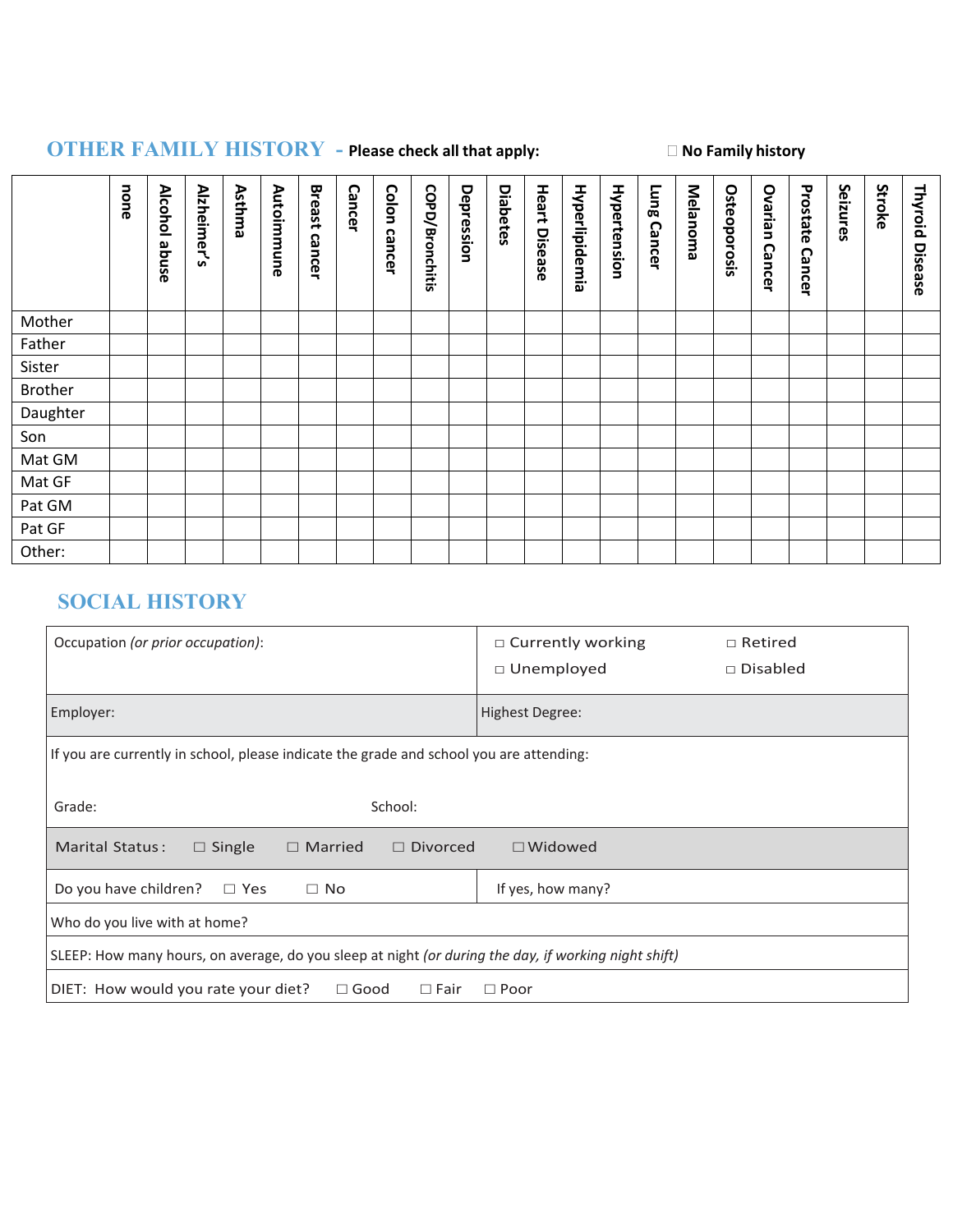# **OTHER FAMILY HISTORY - Please check all that apply: No Family history**

|                | none | <b>Alcohol</b><br>abuse | Alzheimer's | Asthma | Autoimmune | <b>Breast</b><br>cancer | <b>Cancer</b> | Colon cancer | COPD/Bronchitis | Depression | <b>Diabetes</b> | Heart<br>Disease | Hyperlipidemia | Hypertension | <b>Fung</b><br><b>Cancer</b> | Melanoma | Osteoporosis | Ovarian<br><b>Cancer</b> | Prostate<br><b>Cancer</b> | Seizures | Stroke | Thyroid<br>Disease |
|----------------|------|-------------------------|-------------|--------|------------|-------------------------|---------------|--------------|-----------------|------------|-----------------|------------------|----------------|--------------|------------------------------|----------|--------------|--------------------------|---------------------------|----------|--------|--------------------|
| Mother         |      |                         |             |        |            |                         |               |              |                 |            |                 |                  |                |              |                              |          |              |                          |                           |          |        |                    |
| Father         |      |                         |             |        |            |                         |               |              |                 |            |                 |                  |                |              |                              |          |              |                          |                           |          |        |                    |
| Sister         |      |                         |             |        |            |                         |               |              |                 |            |                 |                  |                |              |                              |          |              |                          |                           |          |        |                    |
| <b>Brother</b> |      |                         |             |        |            |                         |               |              |                 |            |                 |                  |                |              |                              |          |              |                          |                           |          |        |                    |
| Daughter       |      |                         |             |        |            |                         |               |              |                 |            |                 |                  |                |              |                              |          |              |                          |                           |          |        |                    |
| Son            |      |                         |             |        |            |                         |               |              |                 |            |                 |                  |                |              |                              |          |              |                          |                           |          |        |                    |
| Mat GM         |      |                         |             |        |            |                         |               |              |                 |            |                 |                  |                |              |                              |          |              |                          |                           |          |        |                    |
| Mat GF         |      |                         |             |        |            |                         |               |              |                 |            |                 |                  |                |              |                              |          |              |                          |                           |          |        |                    |
| Pat GM         |      |                         |             |        |            |                         |               |              |                 |            |                 |                  |                |              |                              |          |              |                          |                           |          |        |                    |
| Pat GF         |      |                         |             |        |            |                         |               |              |                 |            |                 |                  |                |              |                              |          |              |                          |                           |          |        |                    |
| Other:         |      |                         |             |        |            |                         |               |              |                 |            |                 |                  |                |              |                              |          |              |                          |                           |          |        |                    |

# **SOCIAL HISTORY**

| Occupation (or prior occupation):                                                                    | $\Box$ Currently working<br>$\Box$ Retired<br>$\Box$ Unemployed<br>$\Box$ Disabled |  |  |  |  |  |  |
|------------------------------------------------------------------------------------------------------|------------------------------------------------------------------------------------|--|--|--|--|--|--|
| Employer:                                                                                            | Highest Degree:                                                                    |  |  |  |  |  |  |
| If you are currently in school, please indicate the grade and school you are attending:              |                                                                                    |  |  |  |  |  |  |
| Grade:<br>School:                                                                                    |                                                                                    |  |  |  |  |  |  |
| Marital Status:<br>$\Box$ Single<br>$\Box$ Married<br>$\Box$ Widowed<br>$\Box$ Divorced              |                                                                                    |  |  |  |  |  |  |
| Do you have children?<br>$\Box$ No<br>$\Box$ Yes                                                     | If yes, how many?                                                                  |  |  |  |  |  |  |
| Who do you live with at home?                                                                        |                                                                                    |  |  |  |  |  |  |
| SLEEP: How many hours, on average, do you sleep at night (or during the day, if working night shift) |                                                                                    |  |  |  |  |  |  |
| DIET: How would you rate your diet?<br>$\Box$ Good<br>$\Box$ Fair                                    | $\Box$ Poor                                                                        |  |  |  |  |  |  |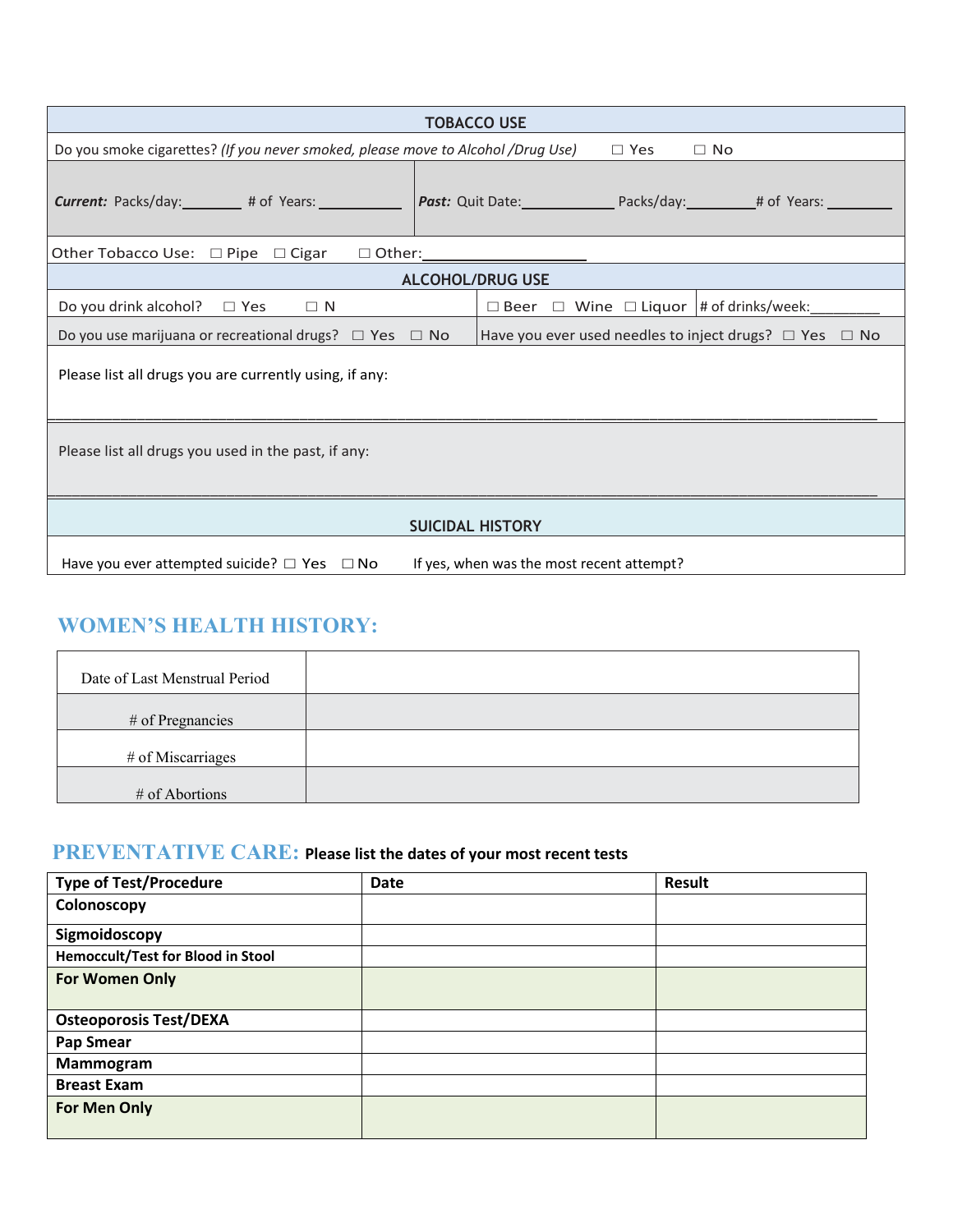|                                                                                                             | <b>TOBACCO USE</b>                                               |  |  |  |  |  |  |
|-------------------------------------------------------------------------------------------------------------|------------------------------------------------------------------|--|--|--|--|--|--|
| Do you smoke cigarettes? (If you never smoked, please move to Alcohol /Drug Use)<br>$\Box$ Yes<br>$\Box$ No |                                                                  |  |  |  |  |  |  |
| <b>Current:</b> Packs/day: # of Years:                                                                      | <b>Past:</b> Quit Date: Packs/day: # of Years:                   |  |  |  |  |  |  |
|                                                                                                             |                                                                  |  |  |  |  |  |  |
|                                                                                                             | <b>ALCOHOL/DRUG USE</b>                                          |  |  |  |  |  |  |
| Do you drink alcohol? $\Box$ Yes $\Box$ N                                                                   | $\Box$ Beer $\Box$ Wine $\Box$ Liquor  # of drinks/week:         |  |  |  |  |  |  |
| Do you use marijuana or recreational drugs? $\Box$ Yes $\Box$ No                                            | Have you ever used needles to inject drugs? $\Box$ Yes $\Box$ No |  |  |  |  |  |  |
| Please list all drugs you are currently using, if any:                                                      |                                                                  |  |  |  |  |  |  |
| Please list all drugs you used in the past, if any:                                                         |                                                                  |  |  |  |  |  |  |
| <b>SUICIDAL HISTORY</b>                                                                                     |                                                                  |  |  |  |  |  |  |
| Have you ever attempted suicide? $\Box$ Yes $\Box$ No                                                       | If yes, when was the most recent attempt?                        |  |  |  |  |  |  |

# **WOMEN'S HEALTH HISTORY:**

| Date of Last Menstrual Period |  |
|-------------------------------|--|
| # of Pregnancies              |  |
| # of Miscarriages             |  |
| # of Abortions                |  |

# **PREVENTATIVE CARE: Please list the dates of your most recent tests**

| <b>Type of Test/Procedure</b>     | <b>Date</b> | <b>Result</b> |
|-----------------------------------|-------------|---------------|
| Colonoscopy                       |             |               |
| Sigmoidoscopy                     |             |               |
| Hemoccult/Test for Blood in Stool |             |               |
| For Women Only                    |             |               |
| <b>Osteoporosis Test/DEXA</b>     |             |               |
| Pap Smear                         |             |               |
| Mammogram                         |             |               |
| <b>Breast Exam</b>                |             |               |
| <b>For Men Only</b>               |             |               |